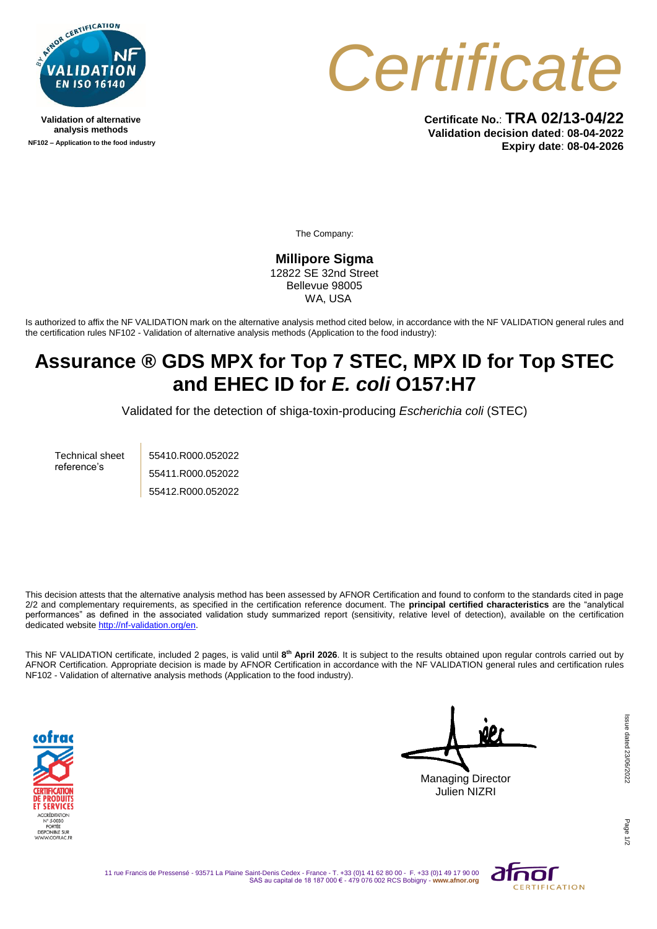

**Validation of alternative analysis methods NF102 – Application to the food industry**



**Certificate No.**: **TRA 02/13-04/22 Validation decision dated**: **08-04-2022 Expiry date**: **08-04-2026**

The Company:

**Millipore Sigma** 12822 SE 32nd Street Bellevue 98005 WA, USA

Is authorized to affix the NF VALIDATION mark on the alternative analysis method cited below, in accordance with the NF VALIDATION general rules and the certification rules NF102 - Validation of alternative analysis methods (Application to the food industry):

## **Assurance ® GDS MPX for Top 7 STEC, MPX ID for Top STEC and EHEC ID for** *E. coli* **O157:H7**

Validated for the detection of shiga-toxin-producing *Escherichia coli* (STEC)

Technical sheet reference's

55410.R000.052022 55411.R000.052022 55412.R000.052022

This decision attests that the alternative analysis method has been assessed by AFNOR Certification and found to conform to the standards cited in page 2/2 and complementary requirements, as specified in the certification reference document. The **principal certified characteristics** are the "analytical performances" as defined in the associated validation study summarized report (sensitivity, relative level of detection), available on the certification dedicated websit[e http://nf-validation.org/en.](http://nf-validation.org/en)

This NF VALIDATION certificate, included 2 pages, is valid until **8 th April 2026**. It is subject to the results obtained upon regular controls carried out by AFNOR Certification. Appropriate decision is made by AFNOR Certification in accordance with the NF VALIDATION general rules and certification rules NF102 - Validation of alternative analysis methods (Application to the food industry).



Managing Director Julien NIZRI